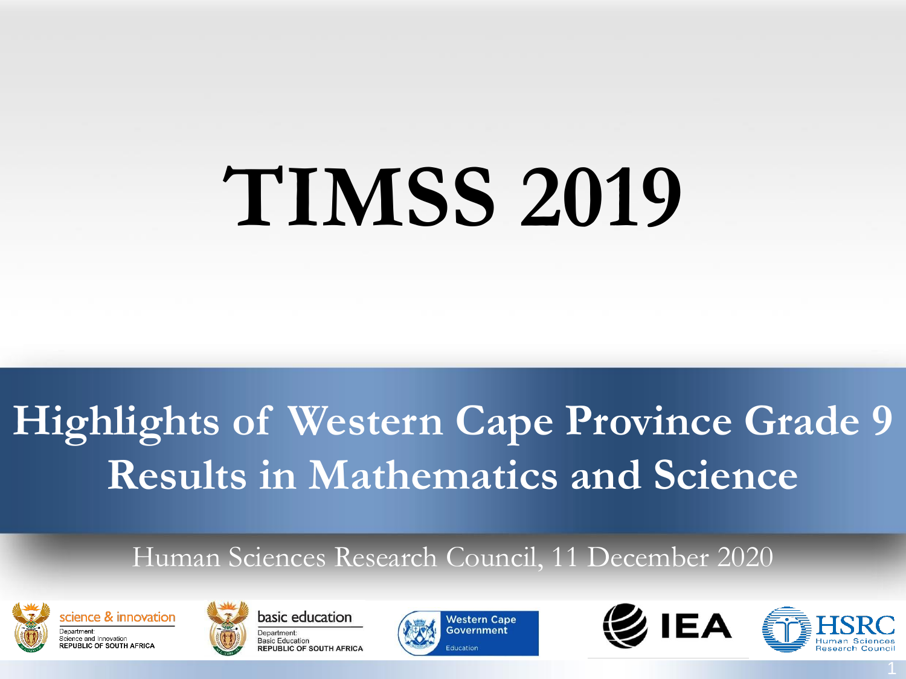# **TIMSS 2019**

### **Highlights of Western Cape Province Grade 9 Results in Mathematics and Science**

#### Human Sciences Research Council, 11 December 2020









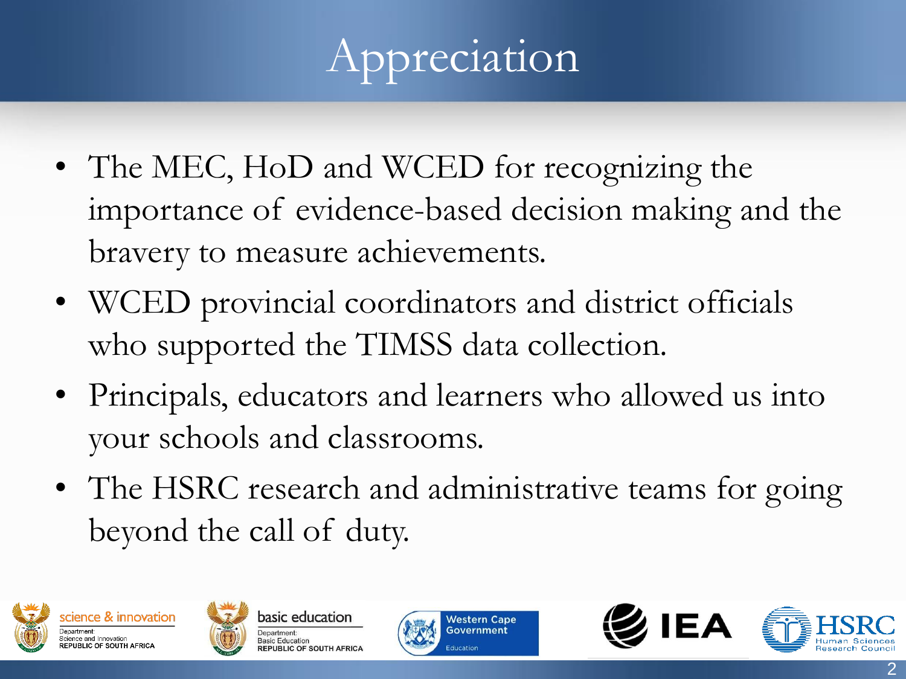# Appreciation

- The MEC, HoD and WCED for recognizing the importance of evidence-based decision making and the bravery to measure achievements.
- WCED provincial coordinators and district officials who supported the TIMSS data collection.
- Principals, educators and learners who allowed us into your schools and classrooms.
- The HSRC research and administrative teams for going beyond the call of duty.







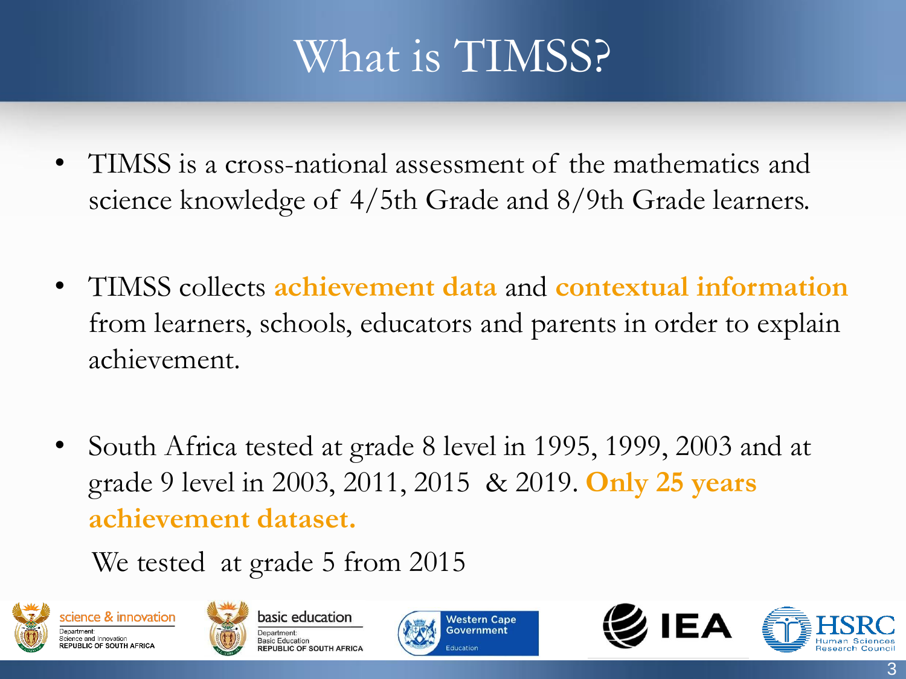### What is TIMSS?

- TIMSS is a cross-national assessment of the mathematics and science knowledge of 4/5th Grade and 8/9th Grade learners.
- TIMSS collects **achievement data** and **contextual information**  from learners, schools, educators and parents in order to explain achievement.
- South Africa tested at grade 8 level in 1995, 1999, 2003 and at grade 9 level in 2003, 2011, 2015 & 2019. **Only 25 years achievement dataset.**

We tested at grade 5 from 2015









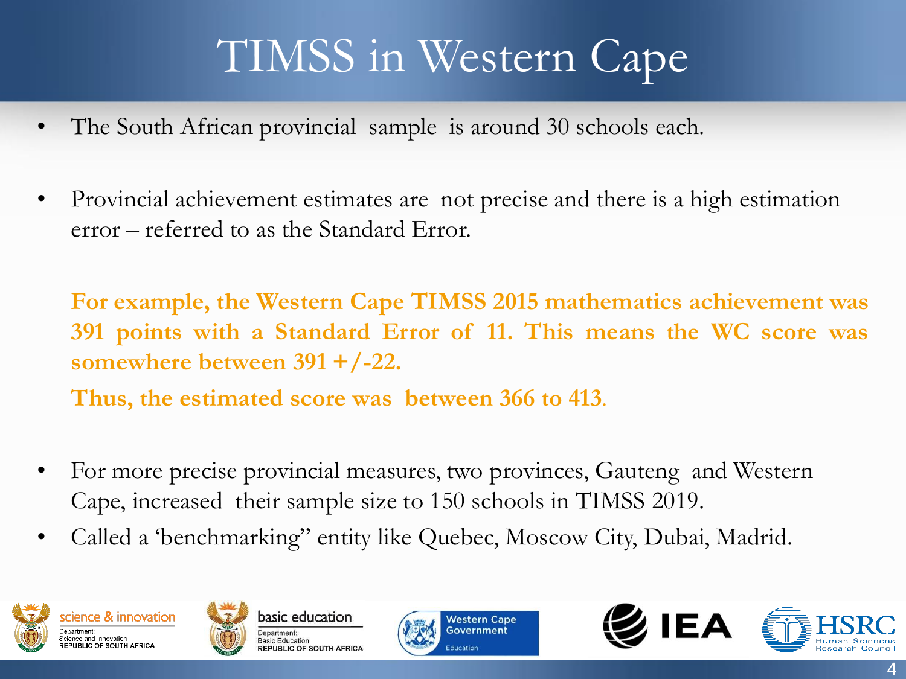## TIMSS in Western Cape

- The South African provincial sample is around 30 schools each.
- Provincial achievement estimates are not precise and there is a high estimation error – referred to as the Standard Error.

**For example, the Western Cape TIMSS 2015 mathematics achievement was 391 points with a Standard Error of 11. This means the WC score was somewhere between 391 +/-22.**

**Thus, the estimated score was between 366 to 413**.

- For more precise provincial measures, two provinces, Gauteng and Western Cape, increased their sample size to 150 schools in TIMSS 2019.
- Called a 'benchmarking" entity like Quebec, Moscow City, Dubai, Madrid.









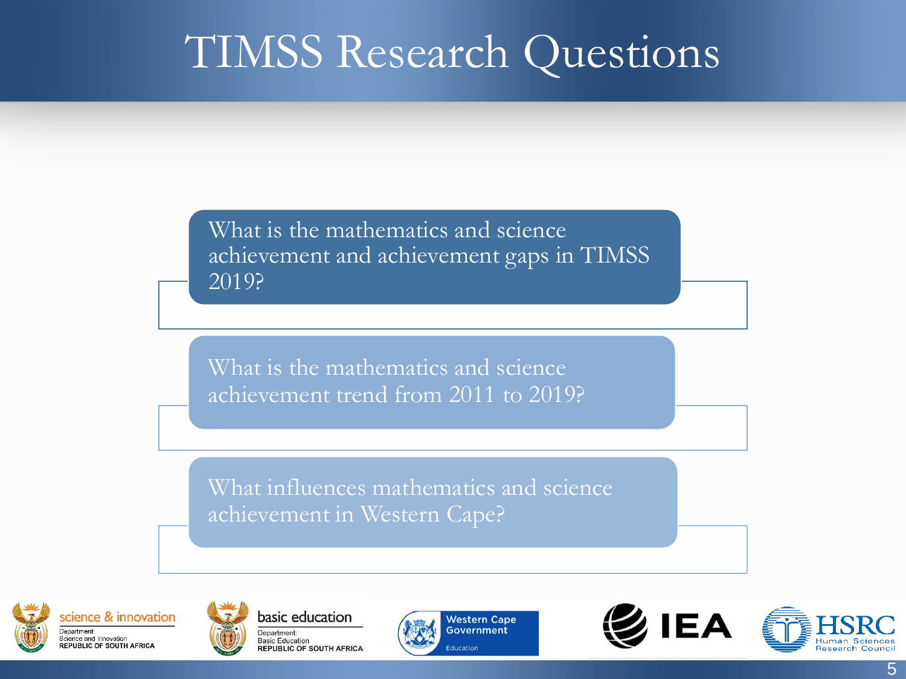#### TIMSS Research Questions

What is the mathematics and science achievement and achievement gaps in TIMSS 2019?

What is the mathematics and science achievement trend from 2011 to 2019?

What influences mathematics and science achievement in Western Cape?









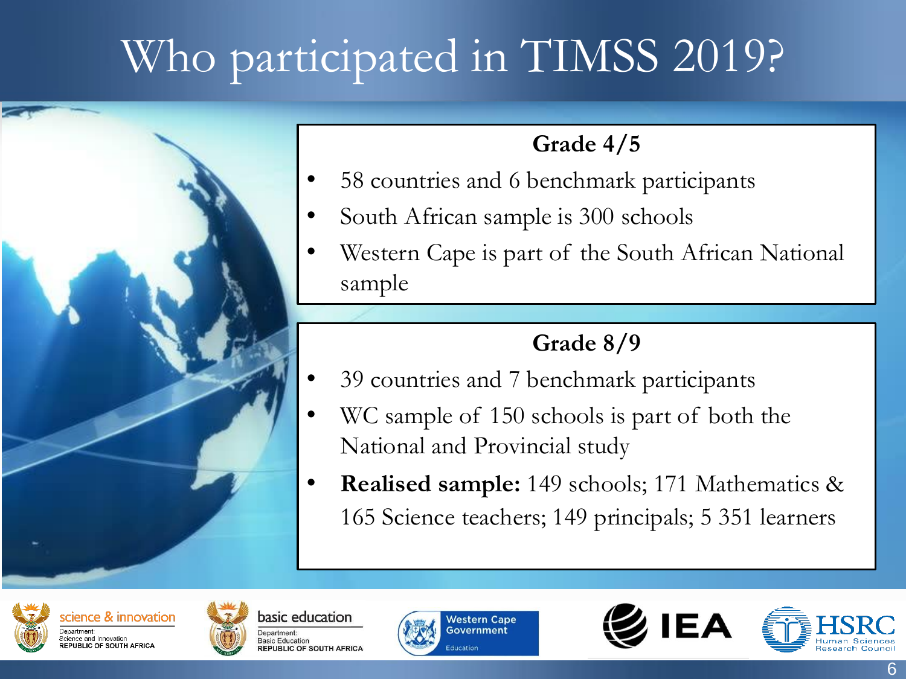# Who participated in TIMSS 2019?



#### **Grade 4/5**

- 58 countries and 6 benchmark participants
- South African sample is 300 schools
- Western Cape is part of the South African National sample

#### **Grade 8/9**

- 39 countries and 7 benchmark participants
- WC sample of 150 schools is part of both the National and Provincial study
- **Realised sample:** 149 schools; 171 Mathematics & 165 Science teachers; 149 principals; 5 351 learners









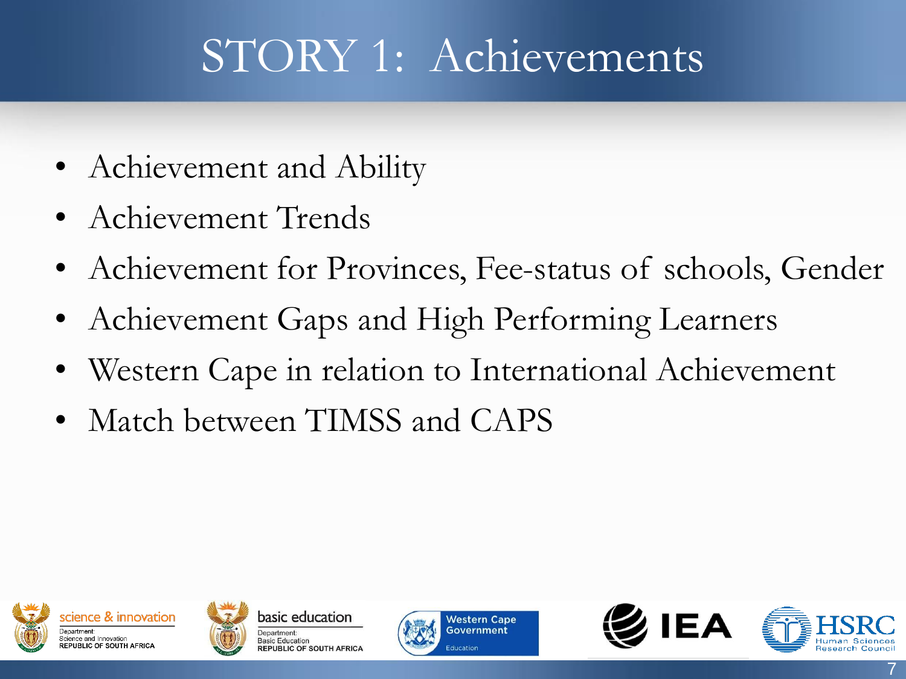# STORY 1: Achievements

- Achievement and Ability
- Achievement Trends
- Achievement for Provinces, Fee-status of schools, Gender
- Achievement Gaps and High Performing Learners
- Western Cape in relation to International Achievement
- Match between TIMSS and CAPS







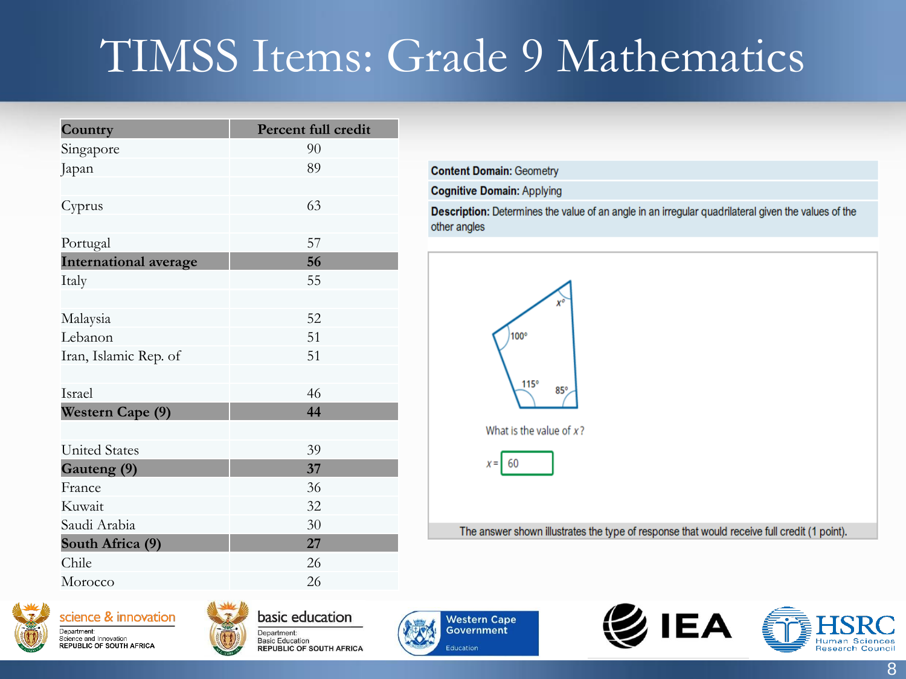### TIMSS Items: Grade 9 Mathematics

| Country                      | Percent full credit |
|------------------------------|---------------------|
| Singapore                    | 90                  |
| Japan                        | 89                  |
|                              |                     |
| Cyprus                       | 63                  |
|                              |                     |
| Portugal                     | 57                  |
| <b>International average</b> | 56                  |
| Italy                        | 55                  |
|                              |                     |
| Malaysia                     | 52                  |
| Lebanon                      | 51                  |
| Iran, Islamic Rep. of        | 51                  |
|                              |                     |
| Israel                       | 46                  |
| Western Cape (9)             | 44                  |
|                              |                     |
| <b>United States</b>         | 39                  |
| Gauteng (9)                  | 37                  |
| France                       | 36                  |
| Kuwait                       | 32                  |
| Saudi Arabia                 | 30                  |
| South Africa (9)             | 27                  |
| Chile                        | 26                  |
| Morocco                      | 26                  |

**Content Domain: Geometry Cognitive Domain: Applying** Description: Determines the value of an angle in an irregular quadrilateral given the values of the other angles



The answer shown illustrates the type of response that would receive full credit (1 point).







basic education Department: **Basic Education REPUBLIC OF SOUTH AFRICA** 





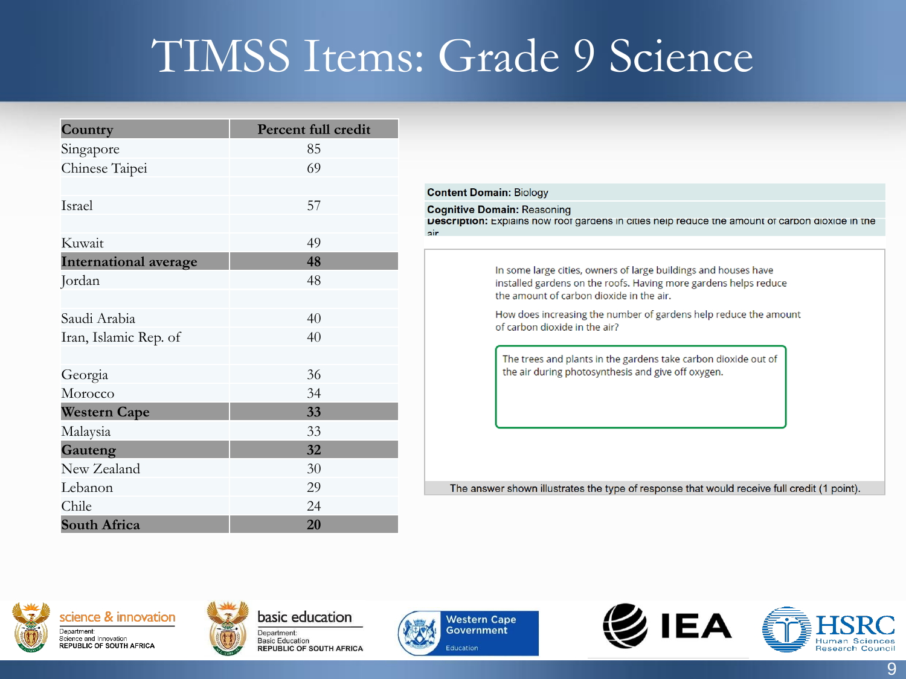### TIMSS Items: Grade 9 Science

air

| Country                      | <b>Percent full credit</b> |  |  |  |  |
|------------------------------|----------------------------|--|--|--|--|
| Singapore                    | 85                         |  |  |  |  |
| Chinese Taipei               | 69                         |  |  |  |  |
|                              |                            |  |  |  |  |
| Israel                       | 57                         |  |  |  |  |
|                              |                            |  |  |  |  |
| Kuwait                       | 49                         |  |  |  |  |
| <b>International average</b> | 48                         |  |  |  |  |
| Jordan                       | 48                         |  |  |  |  |
|                              |                            |  |  |  |  |
| Saudi Arabia                 | 40                         |  |  |  |  |
| Iran, Islamic Rep. of        | 40                         |  |  |  |  |
|                              |                            |  |  |  |  |
| Georgia                      | 36                         |  |  |  |  |
| Morocco                      | 34                         |  |  |  |  |
| <b>Western Cape</b>          | 33                         |  |  |  |  |
| Malaysia                     | 33                         |  |  |  |  |
| Gauteng                      | 32                         |  |  |  |  |
| New Zealand                  | 30                         |  |  |  |  |
| Lebanon                      | 29                         |  |  |  |  |
| Chile                        | 24                         |  |  |  |  |
| <b>South Africa</b>          | 20                         |  |  |  |  |

#### **Content Domain: Biology Cognitive Domain: Reasoning Description:** Explains now root gargens in cities help requce the amount of carbon gloxige in the In some large cities, owners of large buildings and houses have installed gardens on the roofs. Having more gardens helps reduce the amount of carbon dioxide in the air. How does increasing the number of gardens help reduce the amount of carbon dioxide in the air? The trees and plants in the gardens take carbon dioxide out of the air during photosynthesis and give off oxygen.

The answer shown illustrates the type of response that would receive full credit (1 point).









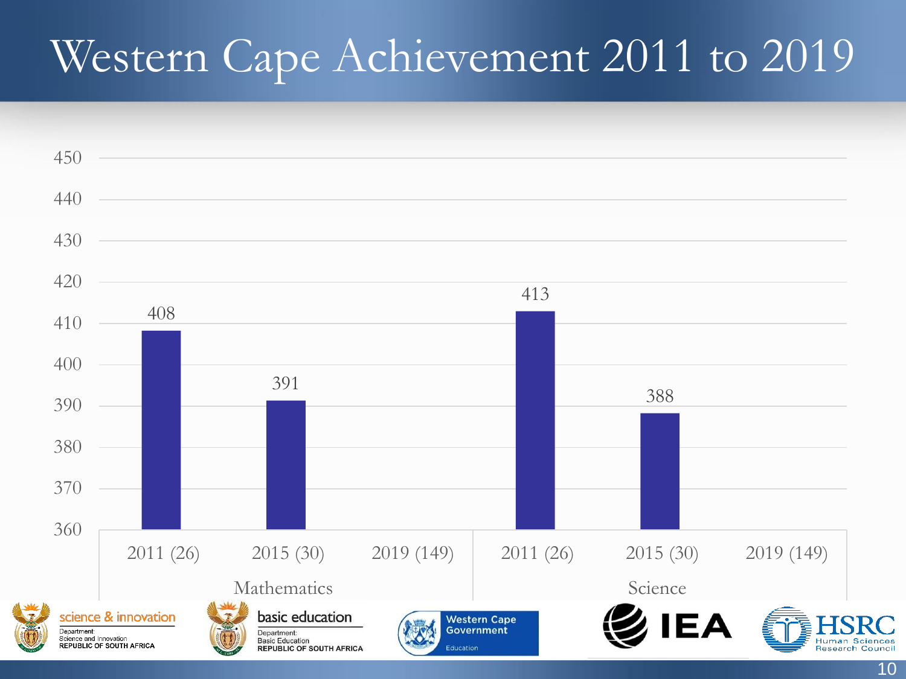#### Western Cape Achievement 2011 to 2019

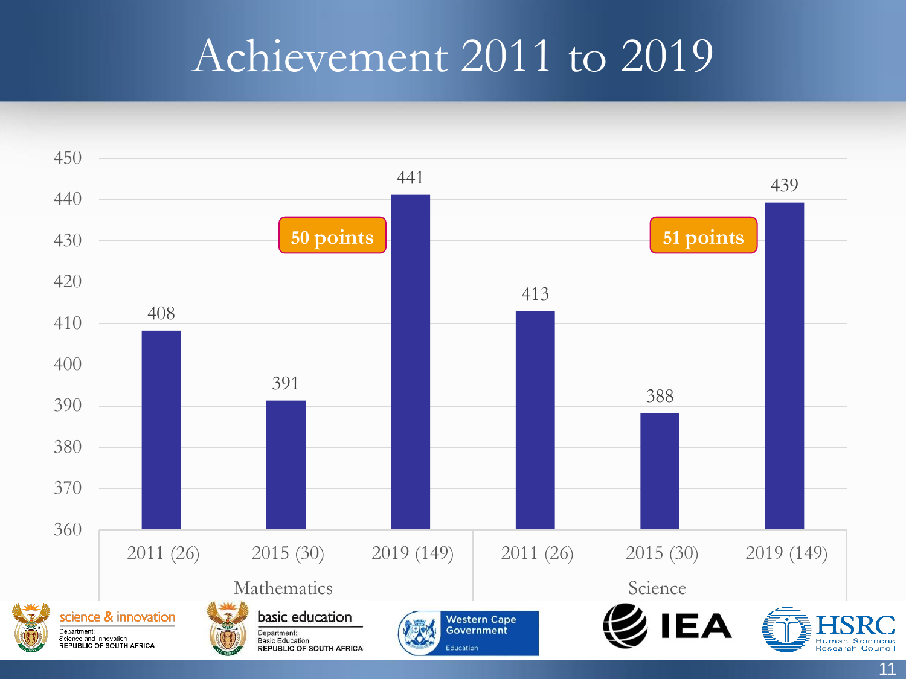#### Achievement 2011 to 2019

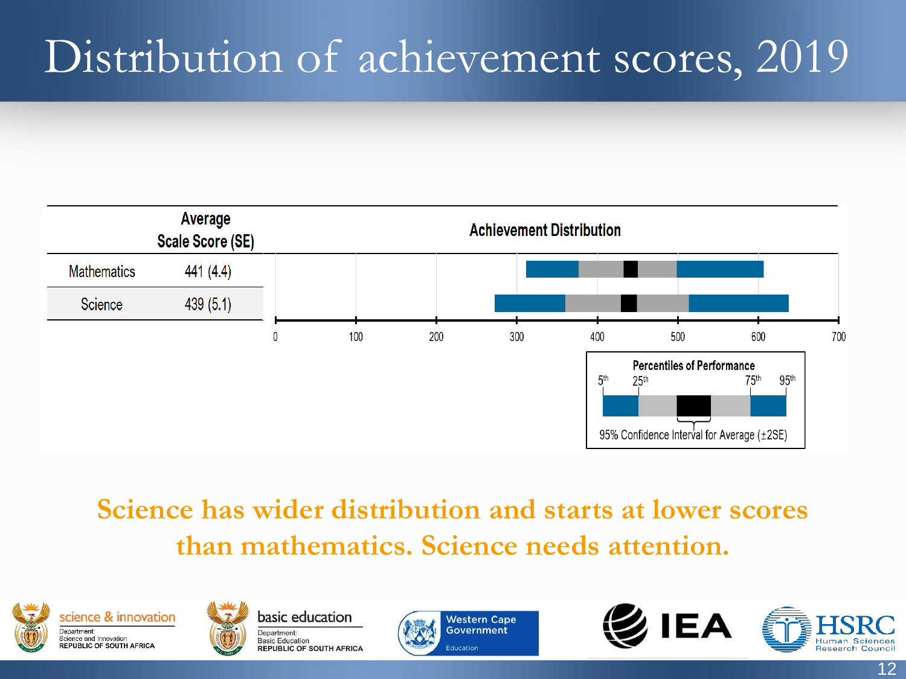### Distribution of achievement scores, 2019



#### **Science has wider distribution and starts at lower scores than mathematics. Science needs attention.**









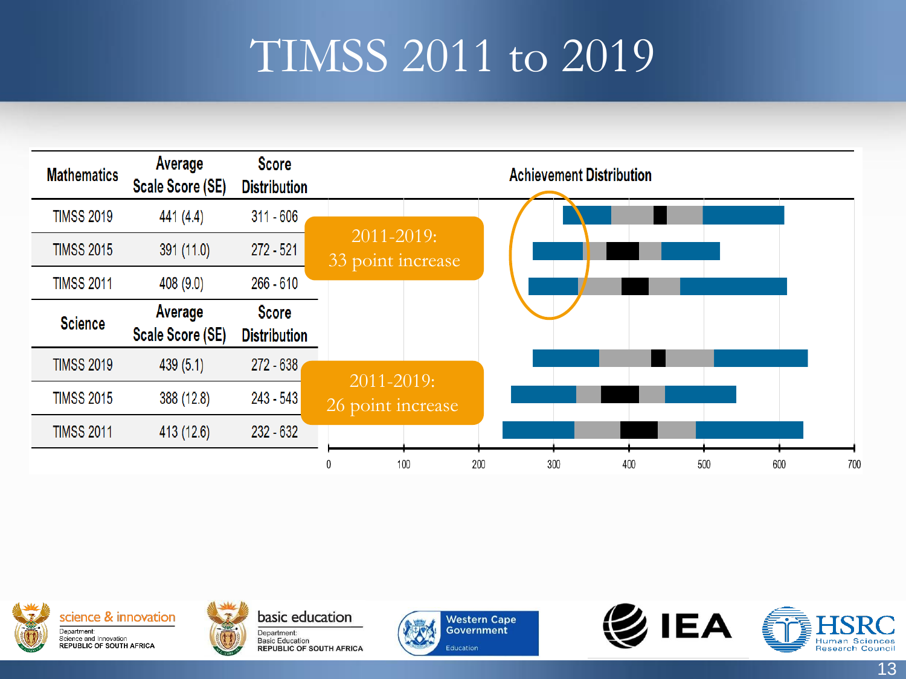#### TIMSS 2011 to 2019







basic education Department: **Basic Education REPUBLIC OF SOUTH AFRICA** 



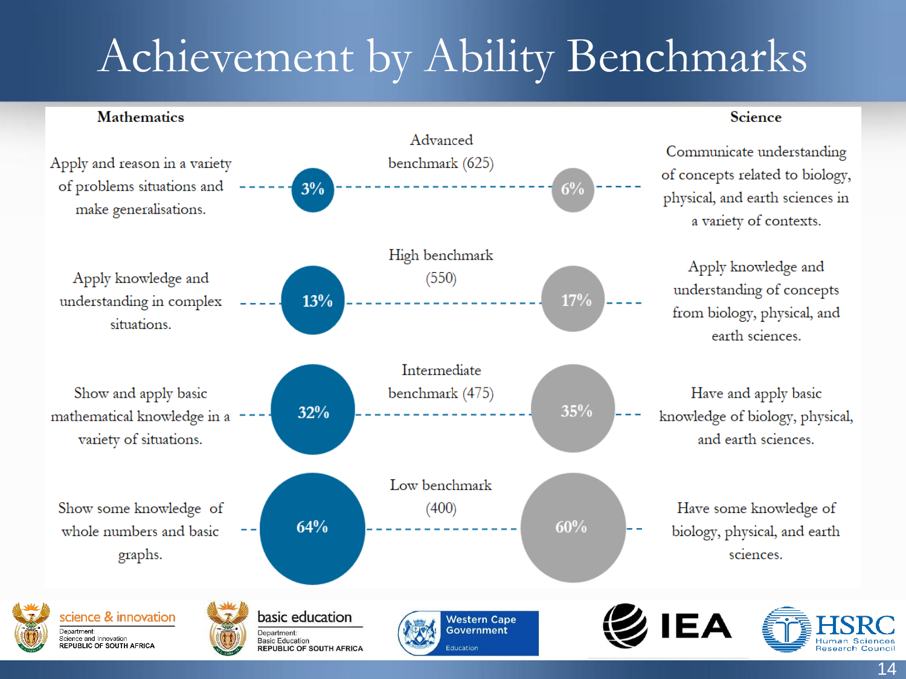## Achievement by Ability Benchmarks

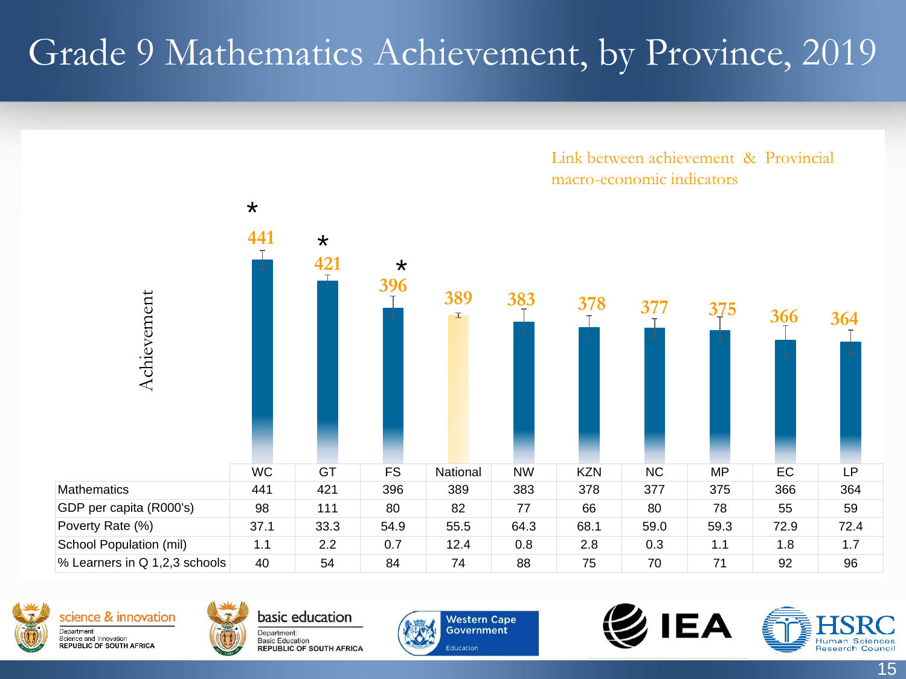#### Grade 9 Mathematics Achievement, by Province, 2019











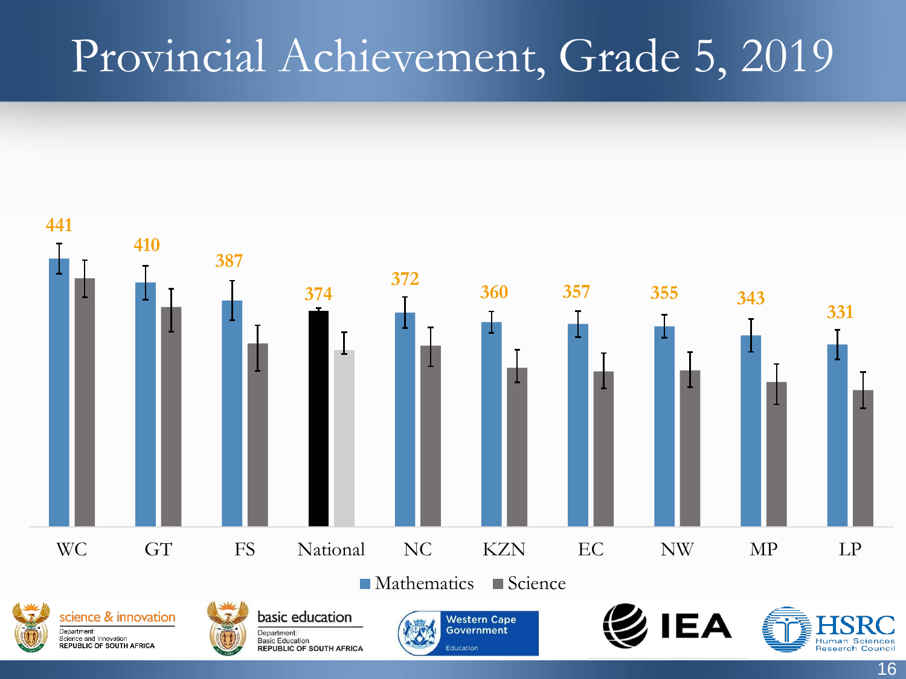#### Provincial Achievement, Grade 5, 2019

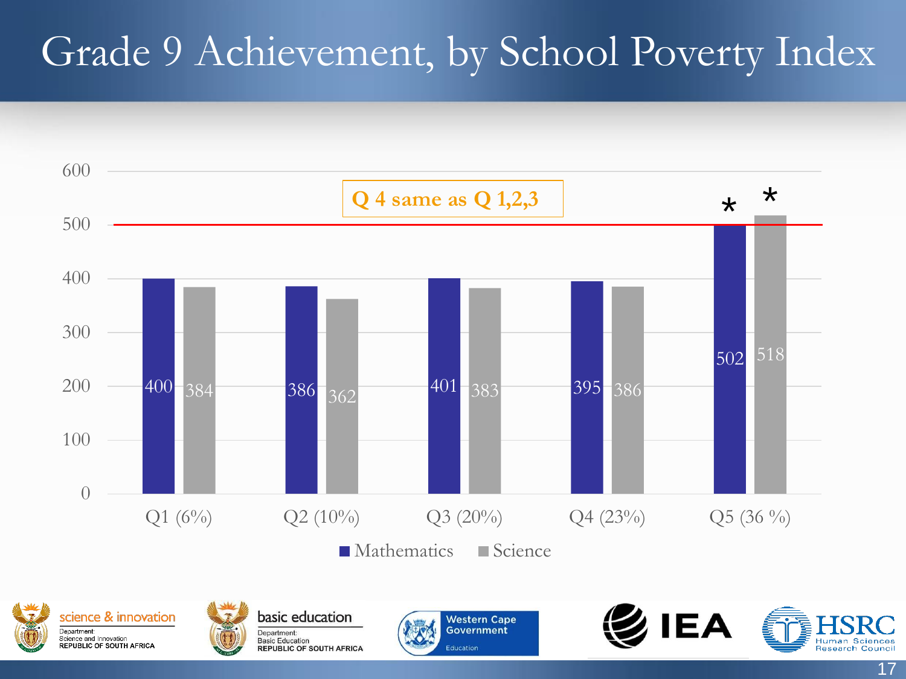#### Grade 9 Achievement, by School Poverty Index







basic education Department: **Basic Education REPUBLIC OF SOUTH AFRICA** 



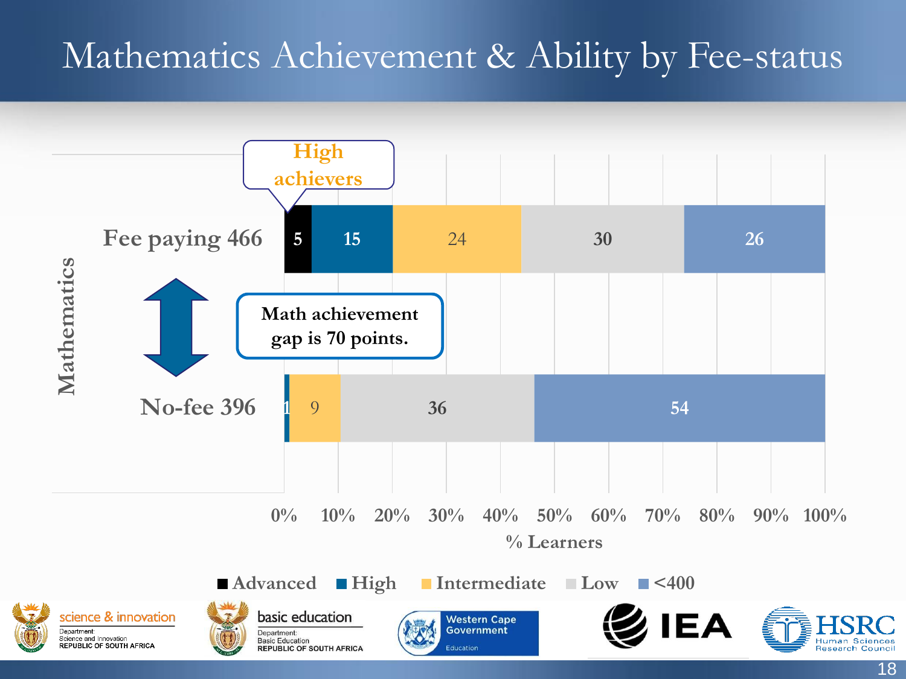#### Mathematics Achievement & Ability by Fee-status

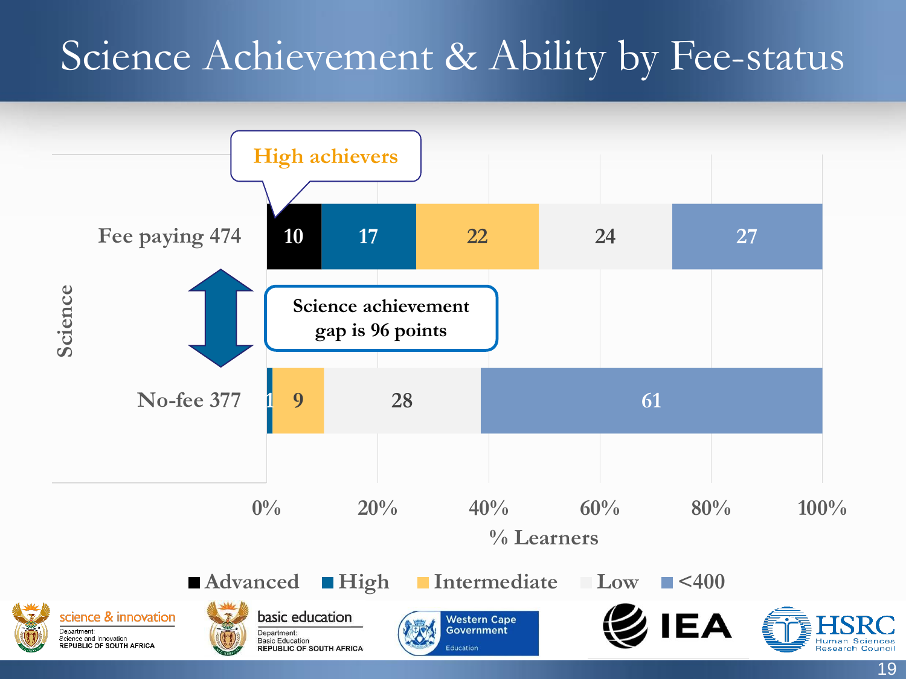#### Science Achievement & Ability by Fee-status



19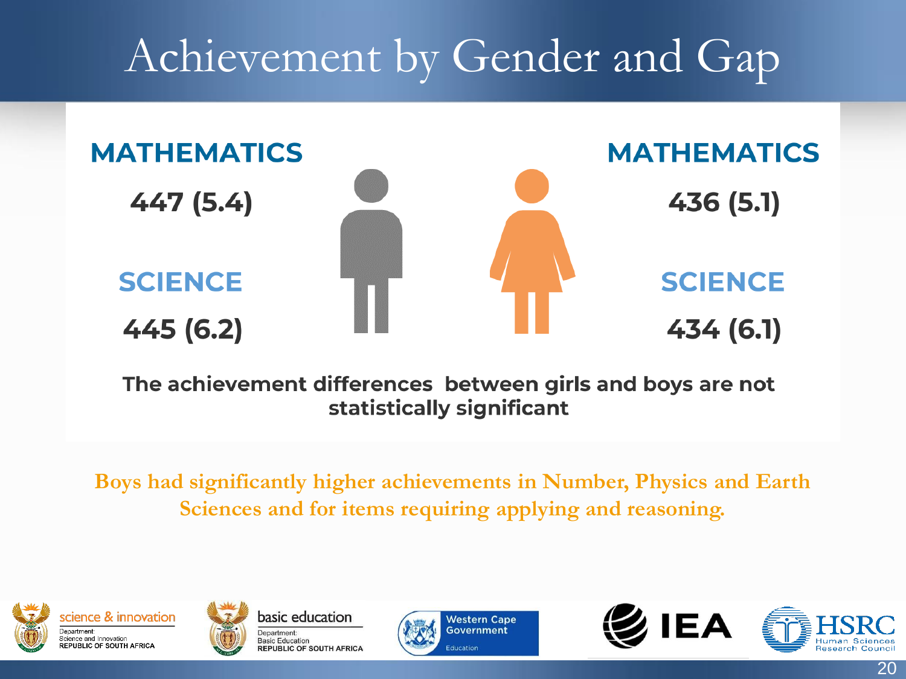### Achievement by Gender and Gap



The achievement differences between girls and boys are not statistically significant

**Boys had significantly higher achievements in Number, Physics and Earth Sciences and for items requiring applying and reasoning.** 





basic education Department: **Basic Education REPUBLIC OF SOUTH AFRICA** 





20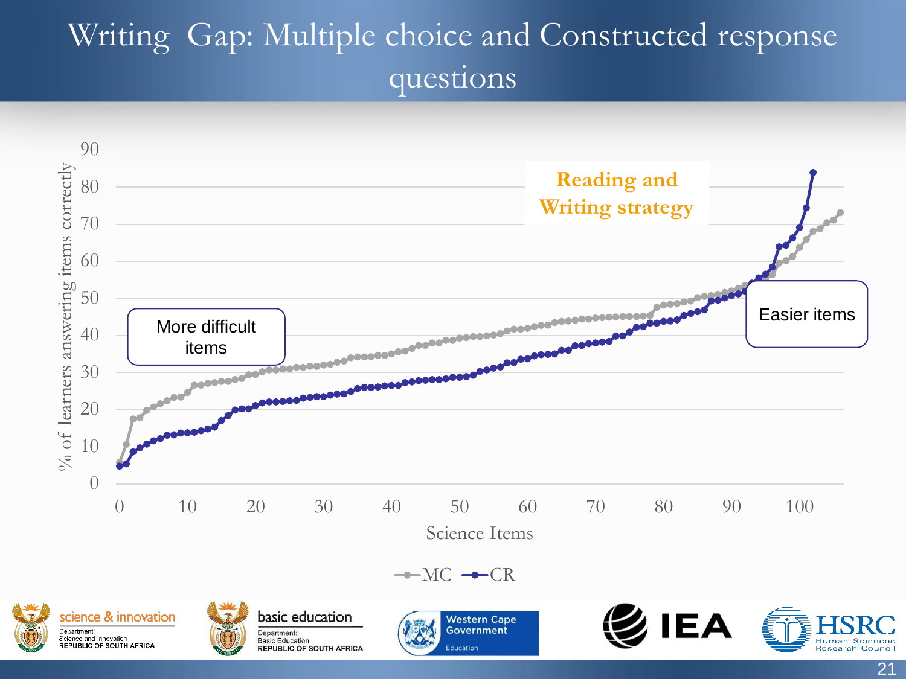#### Writing Gap: Multiple choice and Constructed response questions

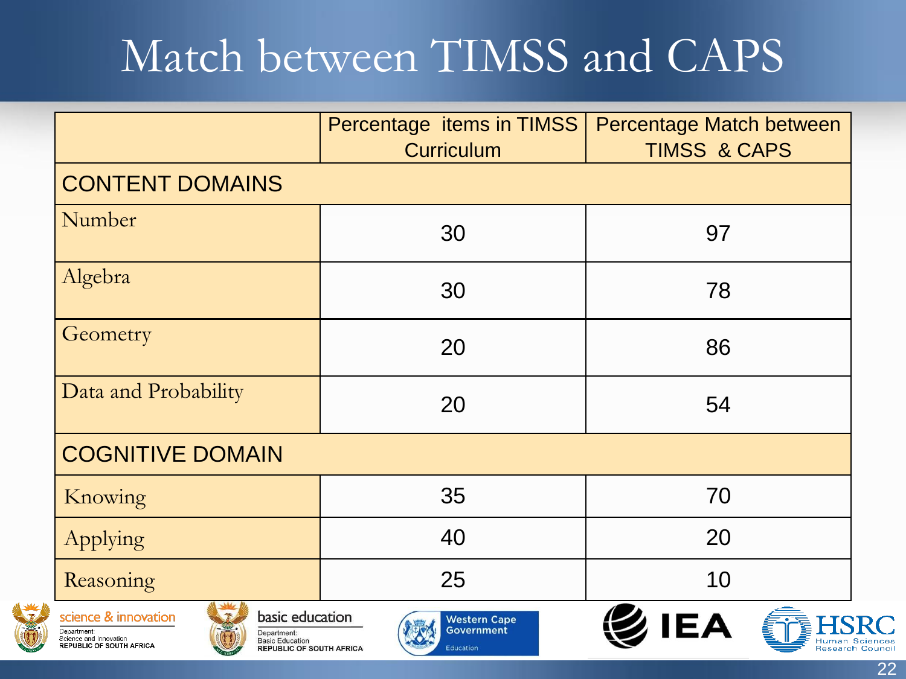#### Match between TIMSS and CAPS

|                                                                                                                                                                                          | Percentage items in TIMSS<br>Curriculum        | Percentage Match between<br><b>TIMSS &amp; CAPS</b> |  |  |  |  |
|------------------------------------------------------------------------------------------------------------------------------------------------------------------------------------------|------------------------------------------------|-----------------------------------------------------|--|--|--|--|
| <b>CONTENT DOMAINS</b>                                                                                                                                                                   |                                                |                                                     |  |  |  |  |
| Number                                                                                                                                                                                   | 30                                             | 97                                                  |  |  |  |  |
| Algebra                                                                                                                                                                                  | 30                                             | 78                                                  |  |  |  |  |
| Geometry                                                                                                                                                                                 | 20                                             | 86                                                  |  |  |  |  |
| Data and Probability                                                                                                                                                                     | 20                                             | 54                                                  |  |  |  |  |
| <b>COGNITIVE DOMAIN</b>                                                                                                                                                                  |                                                |                                                     |  |  |  |  |
| Knowing                                                                                                                                                                                  | 35                                             | 70                                                  |  |  |  |  |
| Applying                                                                                                                                                                                 | 40                                             | 20                                                  |  |  |  |  |
| Reasoning                                                                                                                                                                                | 25                                             | 10                                                  |  |  |  |  |
| basic education<br>science & innovation<br>Department:<br>Department:<br>Science and Innovation<br><b>Basic Education</b><br>REPUBLIC OF SOUTH AFRICA<br><b>REPUBLIC OF SOUTH AFRICA</b> | <b>Western Cape</b><br>Government<br>Education | Human Sciences                                      |  |  |  |  |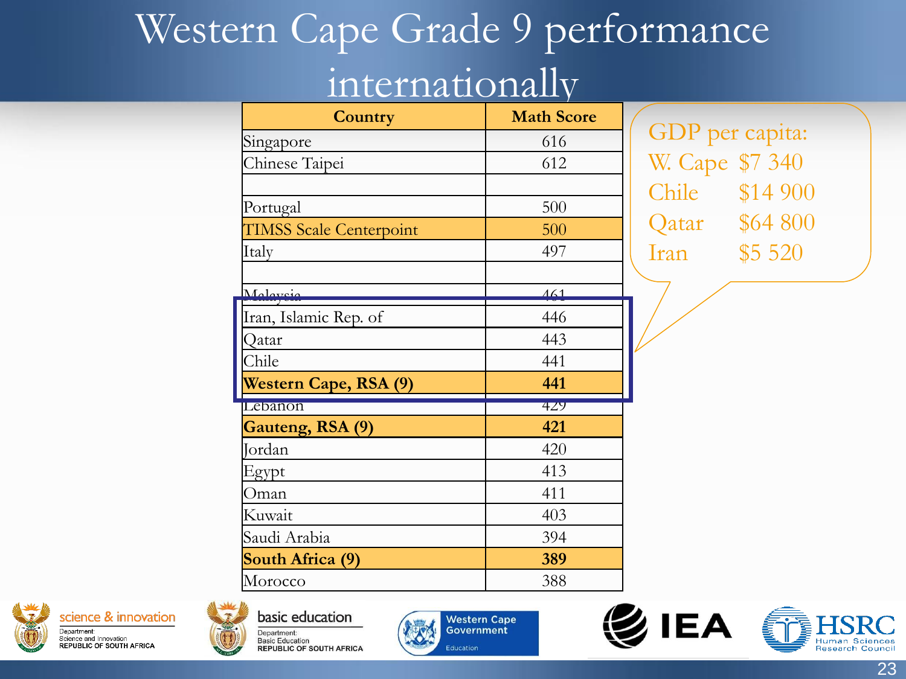#### Western Cape Grade 9 performance internationally

| Country                        | <b>Math Score</b> |     |
|--------------------------------|-------------------|-----|
| Singapore                      | 616               | G)  |
| Chinese Taipei                 | 612               |     |
|                                |                   |     |
| Portugal                       | 500               |     |
| <b>TIMSS Scale Centerpoint</b> | 500               |     |
| Italy                          | 497               | Ira |
|                                |                   |     |
| Malaysia                       | $\overline{461}$  |     |
| Iran, Islamic Rep. of          | 446               |     |
| Qatar                          | 443               |     |
| Chile                          | 441               |     |
| Western Cape, RSA (9)          | 441               |     |
| Lebanon                        | 429               |     |
| Gauteng, RSA (9)               | 421               |     |
| Jordan                         | 420               |     |
| Egypt                          | 413               |     |
| Oman                           | 411               |     |
| Kuwait                         | 403               |     |
| Saudi Arabia                   | 394               |     |
| South Africa (9)               | 389               |     |
| Morocco                        | 388               |     |

DP per capita: Cape \$7 340 nile \$14 900 atar \$64 800 an  $$5\,520$ 





basic education Department: **Basic Education REPUBLIC OF SOUTH AFRICA** 







23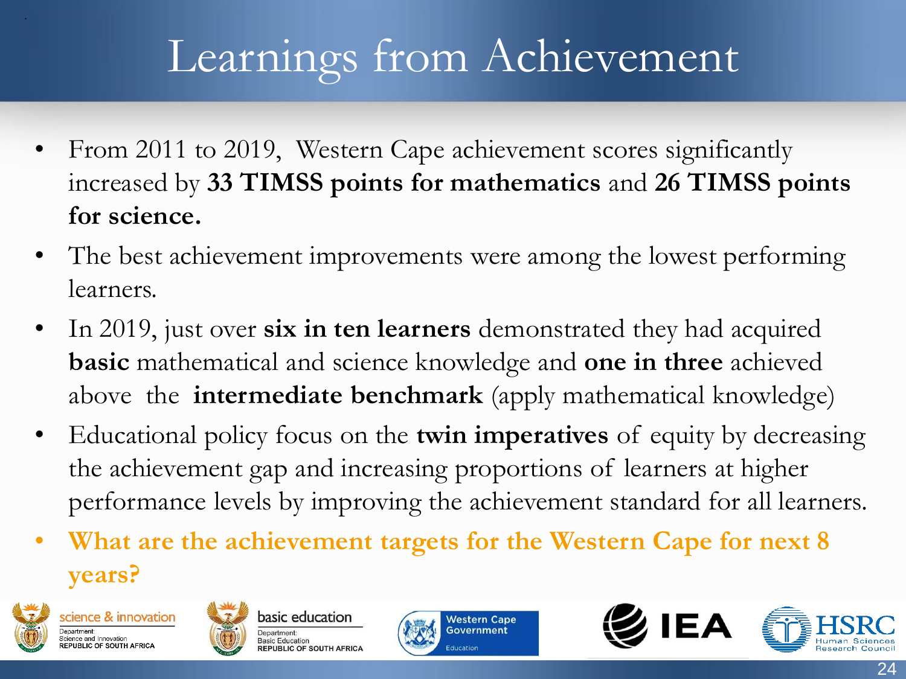### Learnings from Achievement

- From 2011 to 2019, Western Cape achievement scores significantly increased by **33 TIMSS points for mathematics** and **26 TIMSS points for science.**
- The best achievement improvements were among the lowest performing learners.
- In 2019, just over **six in ten learners** demonstrated they had acquired **basic** mathematical and science knowledge and **one in three** achieved above the **intermediate benchmark** (apply mathematical knowledge)
- Educational policy focus on the **twin imperatives** of equity by decreasing the achievement gap and increasing proportions of learners at higher performance levels by improving the achievement standard for all learners.
- **What are the achievement targets for the Western Cape for next 8 years?**



.









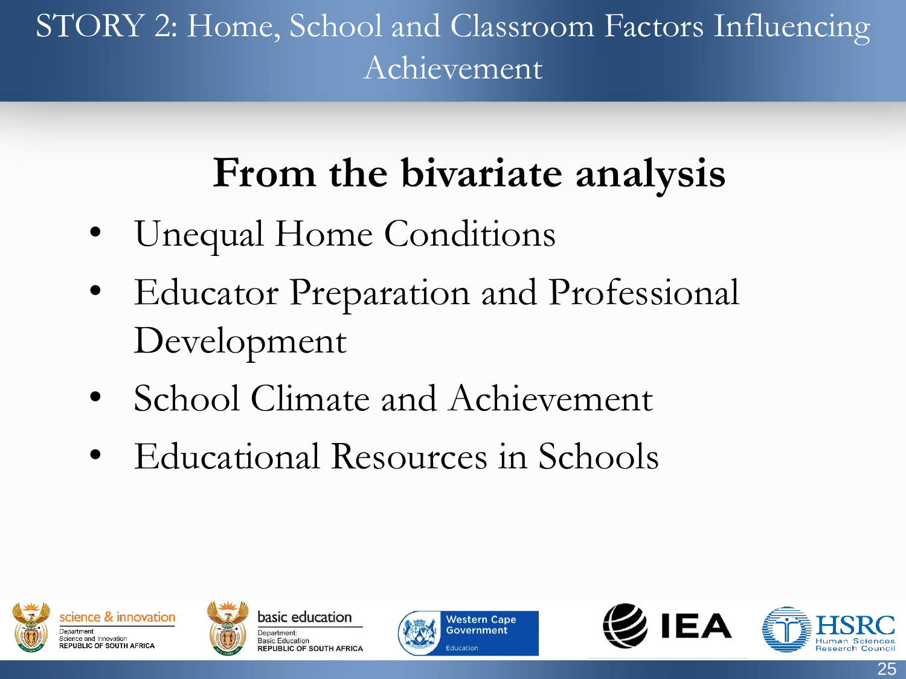#### STORY 2: Home, School and Classroom Factors Influencing Achievement

#### **From the bivariate analysis**

- Unequal Home Conditions
- Educator Preparation and Professional Development
- School Climate and Achievement
- Educational Resources in Schools









25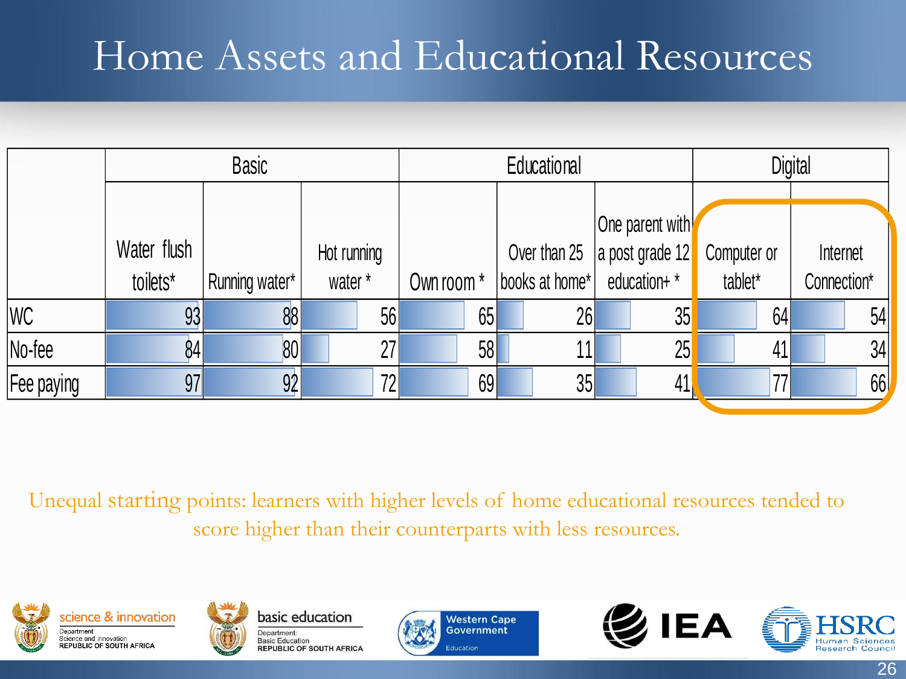#### Home Assets and Educational Resources

|                   |             | <b>Basic</b>   |             | Educational |                             |                                                         | <b>Digital</b> |             |
|-------------------|-------------|----------------|-------------|-------------|-----------------------------|---------------------------------------------------------|----------------|-------------|
|                   | Water flush |                | Hot running |             |                             | One parent with<br>Over than 25 $\vert$ a post grade 12 | Computer or    | Internet    |
|                   | toilets*    | Running water* | water*      | Own room *  | books at home* education+ * |                                                         | tablet*        | Connection* |
| <b>WC</b>         | 93          | 88             | 56          | 65          | 26                          | 35                                                      | 64             | 54          |
| $No$ -fee         | 841         | 80             | 27          | 58          | 11                          | 25                                                      | 41             | 34          |
| <b>Fee paying</b> | 97          | 92             | 72          | 69          | 35                          | 41                                                      | 77             | 66          |

Unequal starting points: learners with higher levels of home educational resources tended to score higher than their counterparts with less resources.











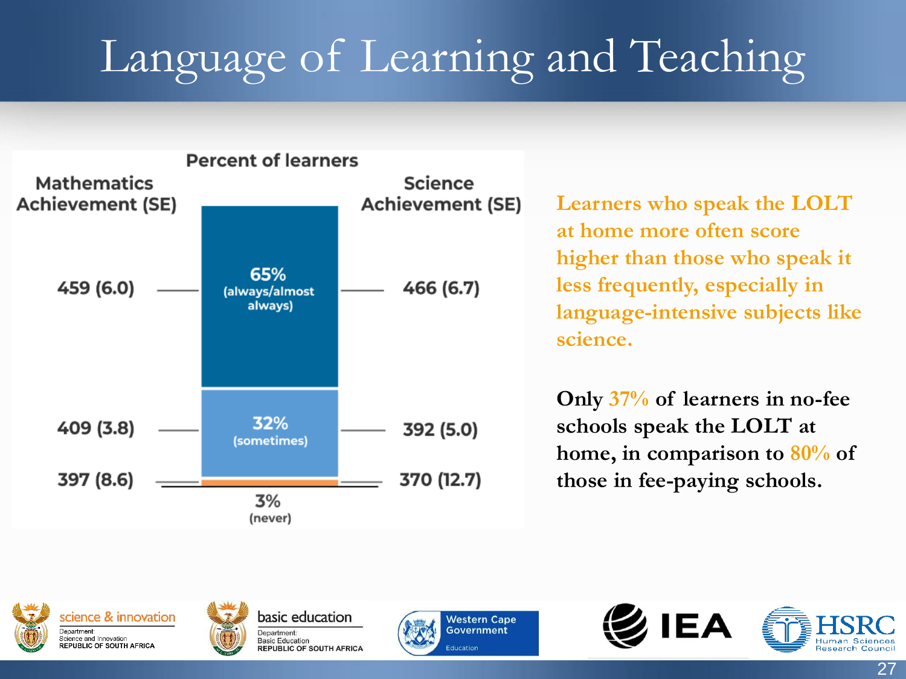# Language of Learning and Teaching



**Learners who speak the LOLT at home more often score higher than those who speak it less frequently, especially in language-intensive subjects like science.**

**Only 37% of learners in no-fee schools speak the LOLT at home, in comparison to 80% of those in fee-paying schools.** 









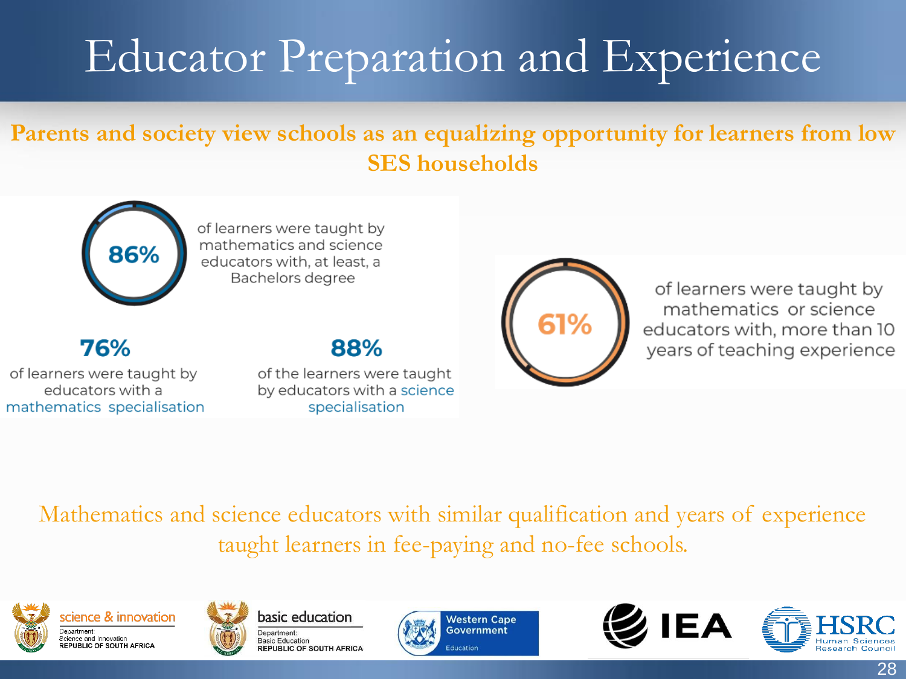# Educator Preparation and Experience

#### **Parents and society view schools as an equalizing opportunity for learners from low SES households**



of learners were taught by mathematics and science educators with, at least, a Bachelors degree

76%

of learners were taught by educators with a mathematics specialisation

#### 88%

of the learners were taught by educators with a science specialisation



of learners were taught by mathematics or science educators with, more than 10 years of teaching experience

Mathematics and science educators with similar qualification and years of experience taught learners in fee-paying and no-fee schools.









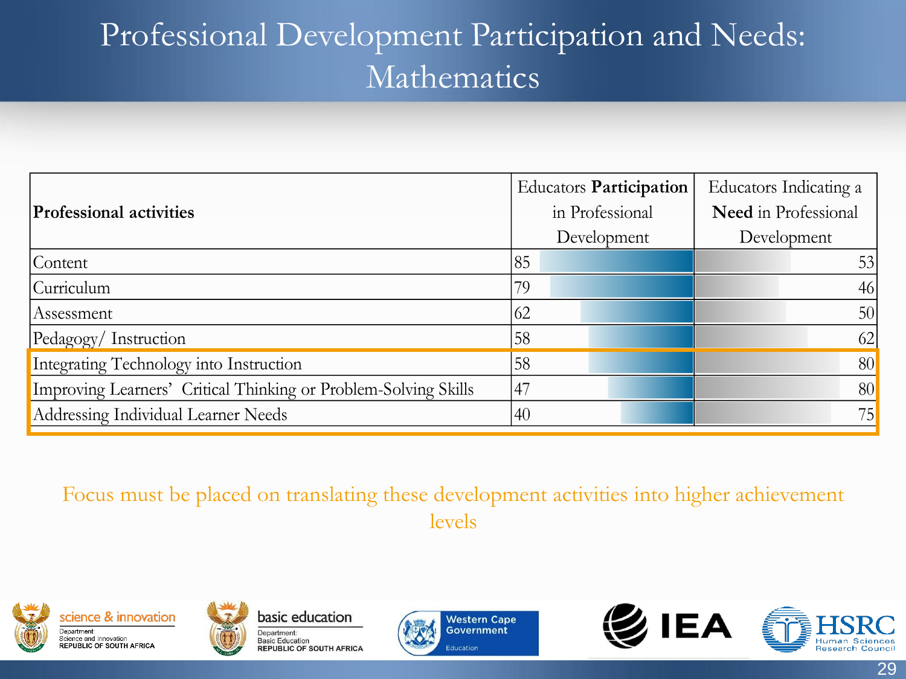#### Professional Development Participation and Needs: Mathematics

|                                                                 |     | <b>Educators Participation</b> | Educators Indicating a      |  |
|-----------------------------------------------------------------|-----|--------------------------------|-----------------------------|--|
| <b>Professional activities</b>                                  |     | in Professional                | <b>Need</b> in Professional |  |
|                                                                 |     | Development                    | Development                 |  |
| Content                                                         | 85  |                                | 53                          |  |
| Curriculum                                                      | 79  |                                | 46                          |  |
| Assessment                                                      | 62  |                                | 50                          |  |
| Pedagogy/Instruction                                            | 58  |                                | 62                          |  |
| Integrating Technology into Instruction                         | 58  |                                | 80                          |  |
| Improving Learners' Critical Thinking or Problem-Solving Skills | .47 |                                | 80                          |  |
| Addressing Individual Learner Needs                             | 40  |                                | 75                          |  |

Focus must be placed on translating these development activities into higher achievement levels











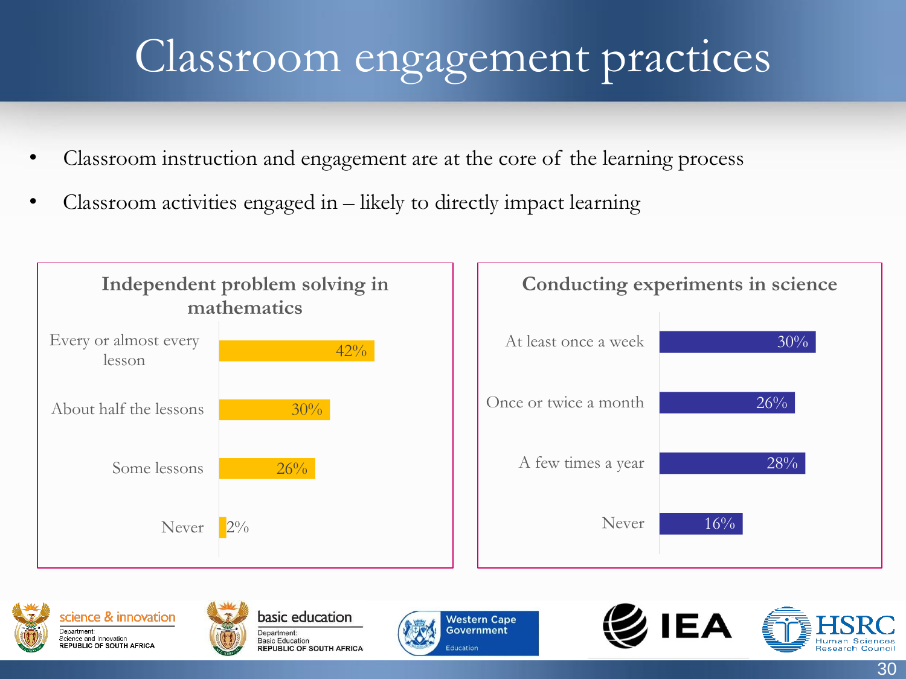### Classroom engagement practices

- Classroom instruction and engagement are at the core of the learning process
- Classroom activities engaged in  $-$  likely to directly impact learning











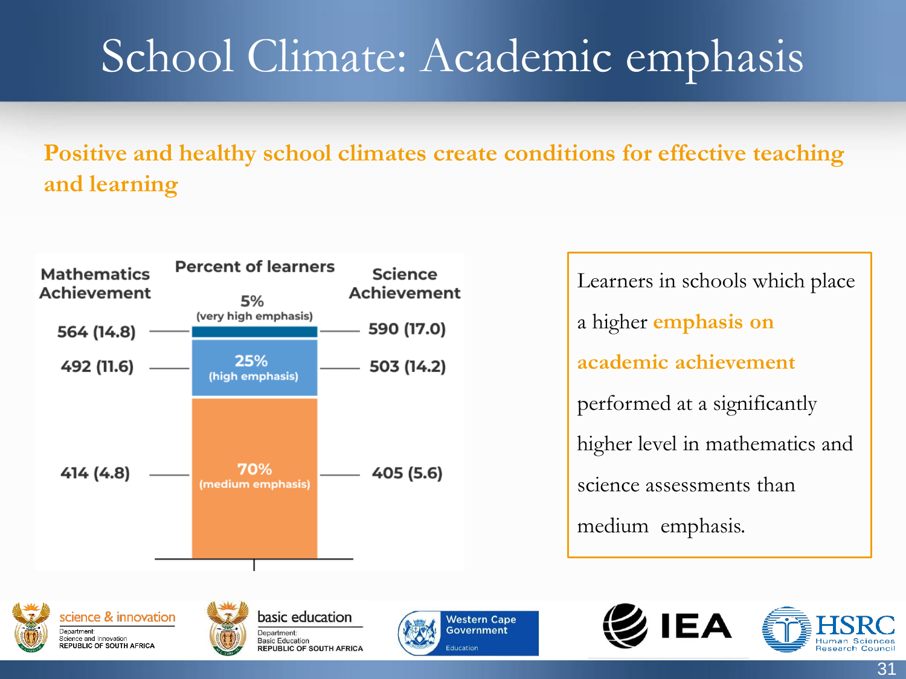### School Climate: Academic emphasis

#### **Positive and healthy school climates create conditions for effective teaching and learning**



Learners in schools which place a higher **emphasis on academic achievement**  performed at a significantly higher level in mathematics and science assessments than medium emphasis.









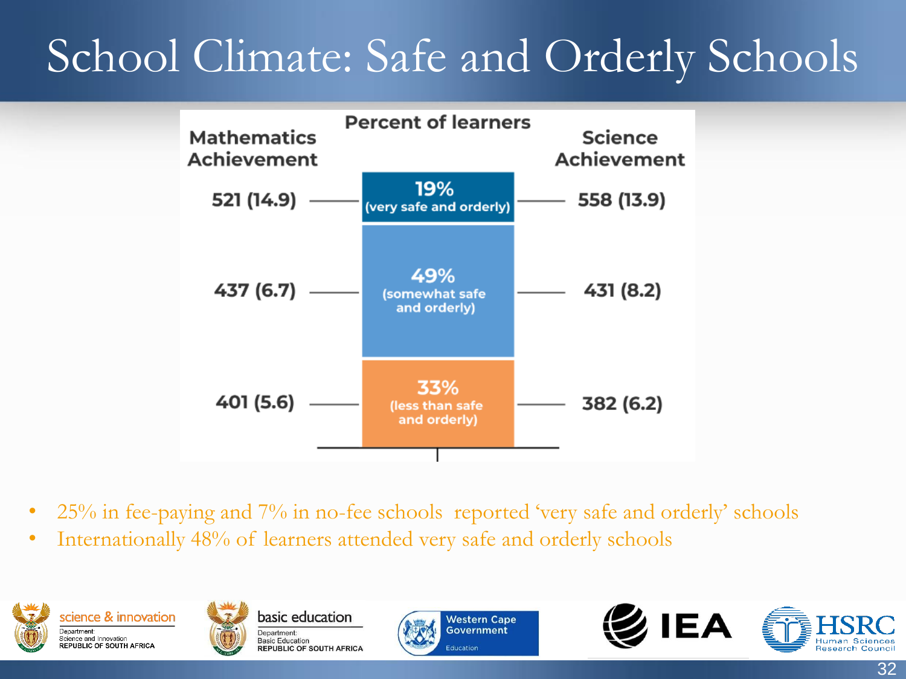### School Climate: Safe and Orderly Schools



- 25% in fee-paying and 7% in no-fee schools reported 'very safe and orderly' schools
- Internationally 48% of learners attended very safe and orderly schools











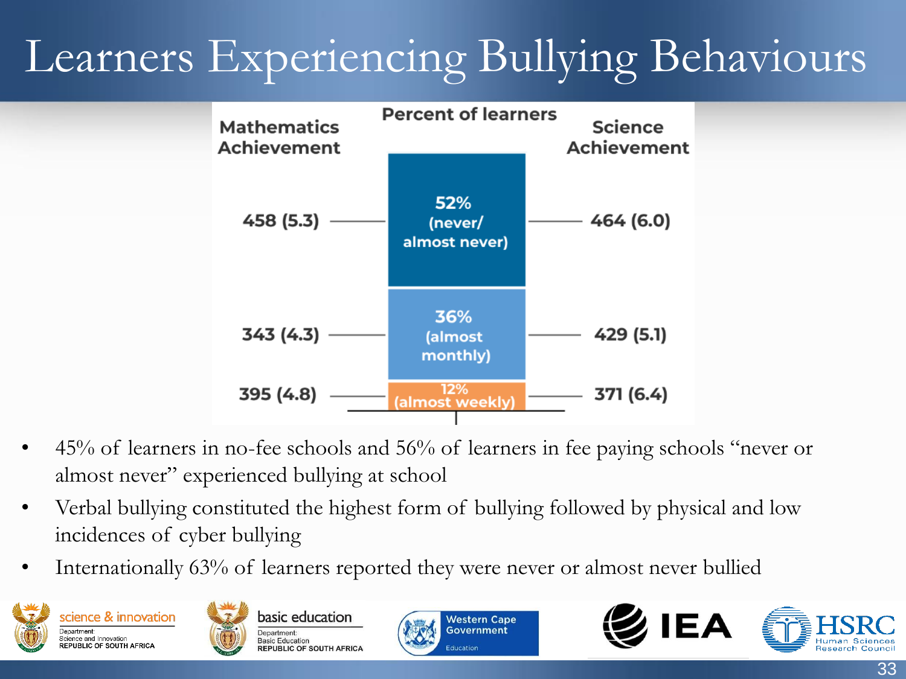# Learners Experiencing Bullying Behaviours



- 45% of learners in no-fee schools and 56% of learners in fee paying schools "never or almost never" experienced bullying at school
- Verbal bullying constituted the highest form of bullying followed by physical and low incidences of cyber bullying
- Internationally 63% of learners reported they were never or almost never bullied









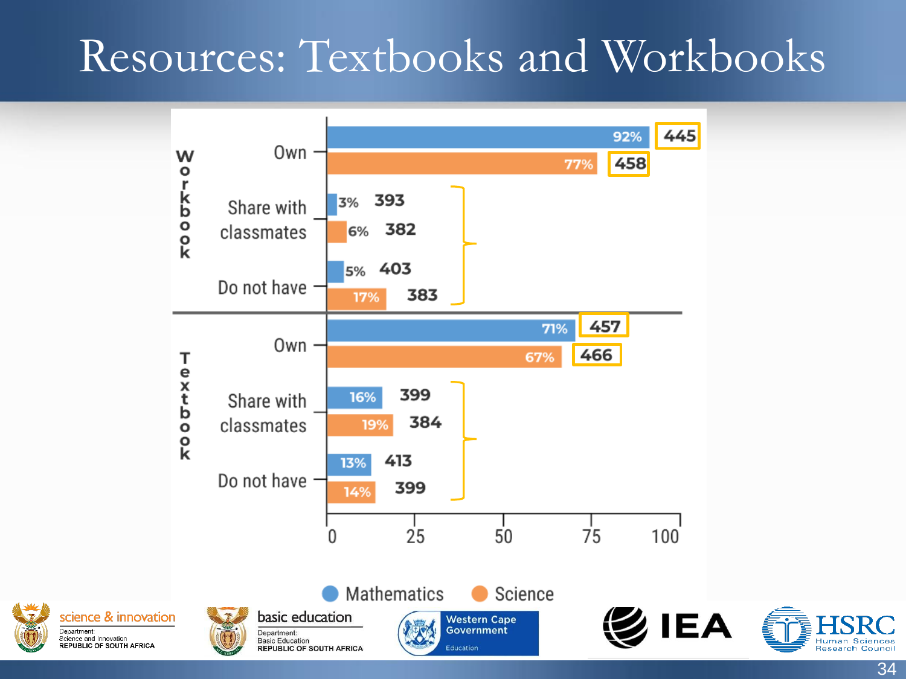#### Resources: Textbooks and Workbooks



Department:

Science and Innovation



34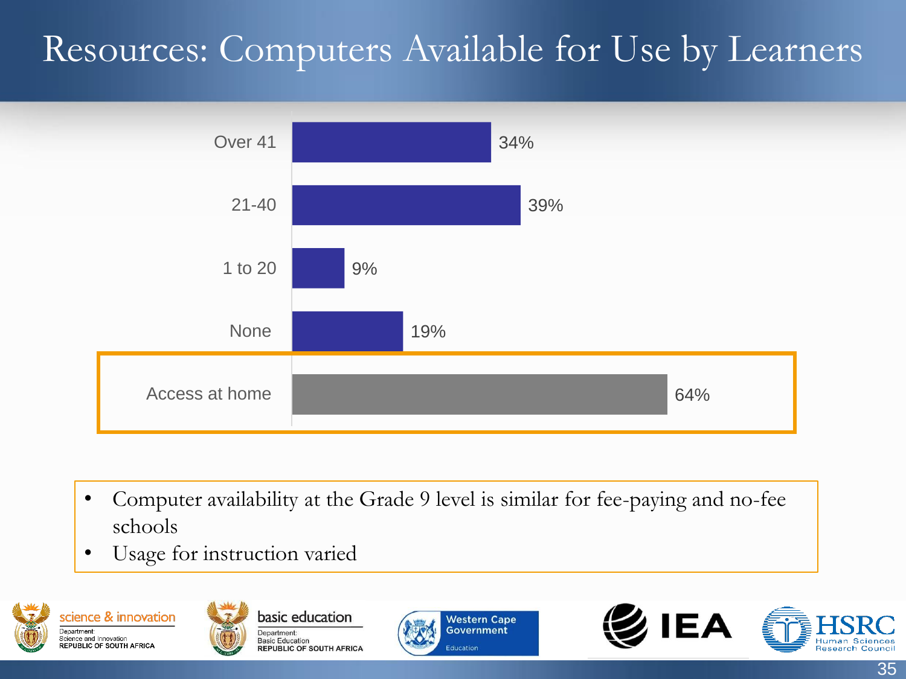#### Resources: Computers Available for Use by Learners



- Computer availability at the Grade 9 level is similar for fee-paying and no-fee schools
- Usage for instruction varied